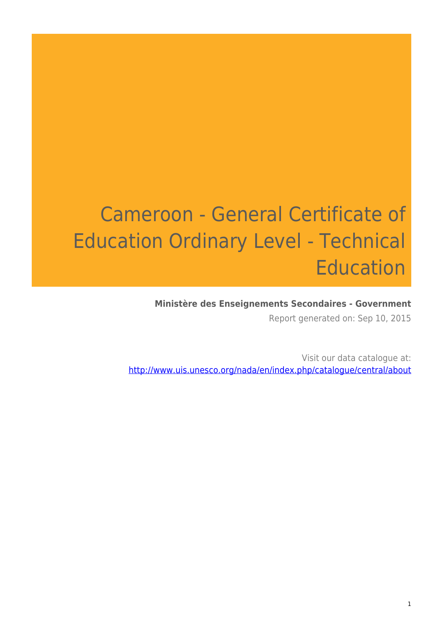# Cameroon - General Certificate of Education Ordinary Level - Technical Education

#### **Ministère des Enseignements Secondaires - Government**

Report generated on: Sep 10, 2015

Visit our data catalogue at: http://www.uis.unesco.org/nada/en/index.php/catalogue/central/about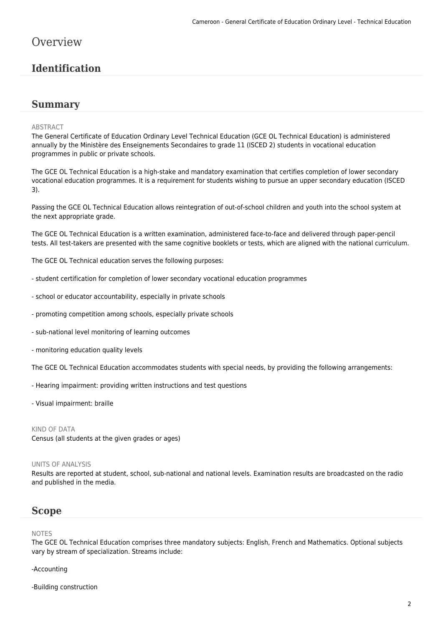## **Overview**

## **Identification**

#### **Summary**

#### ABSTRACT

The General Certificate of Education Ordinary Level Technical Education (GCE OL Technical Education) is administered annually by the Ministère des Enseignements Secondaires to grade 11 (ISCED 2) students in vocational education programmes in public or private schools.

The GCE OL Technical Education is a high-stake and mandatory examination that certifies completion of lower secondary vocational education programmes. It is a requirement for students wishing to pursue an upper secondary education (ISCED 3).

Passing the GCE OL Technical Education allows reintegration of out-of-school children and youth into the school system at the next appropriate grade.

The GCE OL Technical Education is a written examination, administered face-to-face and delivered through paper-pencil tests. All test-takers are presented with the same cognitive booklets or tests, which are aligned with the national curriculum.

The GCE OL Technical education serves the following purposes:

- student certification for completion of lower secondary vocational education programmes
- school or educator accountability, especially in private schools
- promoting competition among schools, especially private schools
- sub-national level monitoring of learning outcomes
- monitoring education quality levels

The GCE OL Technical Education accommodates students with special needs, by providing the following arrangements:

- Hearing impairment: providing written instructions and test questions
- Visual impairment: braille

#### KIND OF DATA

Census (all students at the given grades or ages)

#### UNITS OF ANALYSIS

Results are reported at student, school, sub-national and national levels. Examination results are broadcasted on the radio and published in the media.

#### **Scope**

#### NOTES

The GCE OL Technical Education comprises three mandatory subjects: English, French and Mathematics. Optional subjects vary by stream of specialization. Streams include:

#### -Accounting

-Building construction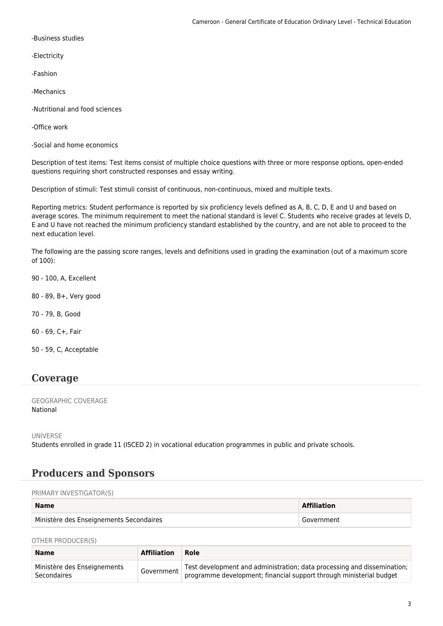-Business studies

-Electricity

-Fashion

-Mechanics

-Nutritional and food sciences

-Office work

-Social and home economics

Description of test items: Test items consist of multiple choice questions with three or more response options, open-ended questions requiring short constructed responses and essay writing.

Description of stimuli: Test stimuli consist of continuous, non-continuous, mixed and multiple texts.

Reporting metrics: Student performance is reported by six proficiency levels defined as A, B, C, D, E and U and based on average scores. The minimum requirement to meet the national standard is level C. Students who receive grades at levels D, E and U have not reached the minimum proficiency standard established by the country, and are not able to proceed to the next education level.

The following are the passing score ranges, levels and definitions used in grading the examination (out of a maximum score of 100):

90 - 100, A, Excellent

80 - 89, B+, Very good

70 - 79, B, Good

60 - 69, C+, Fair

50 - 59, C, Acceptable

#### **Coverage**

GEOGRAPHIC COVERAGE National

UNIVERSE

Students enrolled in grade 11 (ISCED 2) in vocational education programmes in public and private schools.

#### **Producers and Sponsors**

PRIMARY INVESTIGATOR(S)

| <b>Name</b>                             | <b>Affiliation</b> |
|-----------------------------------------|--------------------|
| Ministère des Enseignements Secondaires | Government         |

OTHER PRODUCER(S)

| <b>Name</b>                                       | Affiliation | ∣ Role∶                                                                                                                                        |
|---------------------------------------------------|-------------|------------------------------------------------------------------------------------------------------------------------------------------------|
| Ministère des Enseignements<br><b>Secondaires</b> | Government  | Test development and administration; data processing and dissemination;<br>programme development; financial support through ministerial budget |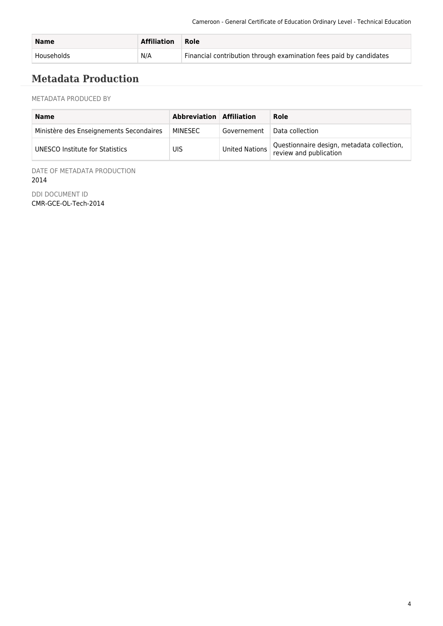| <b>Name</b> | Affiliation | <b>Role</b>                                                        |
|-------------|-------------|--------------------------------------------------------------------|
| Households  | N/A         | Financial contribution through examination fees paid by candidates |

# **Metadata Production**

METADATA PRODUCED BY

| <b>Name</b>                             | Abbreviation Affiliation |                | Role                                                                 |
|-----------------------------------------|--------------------------|----------------|----------------------------------------------------------------------|
| Ministère des Enseignements Secondaires | MINESEC                  | Governement    | Data collection                                                      |
| UNESCO Institute for Statistics         | UIS                      | United Nations | Questionnaire design, metadata collection,<br>review and publication |

DATE OF METADATA PRODUCTION 2014

DDI DOCUMENT ID CMR-GCE-OL-Tech-2014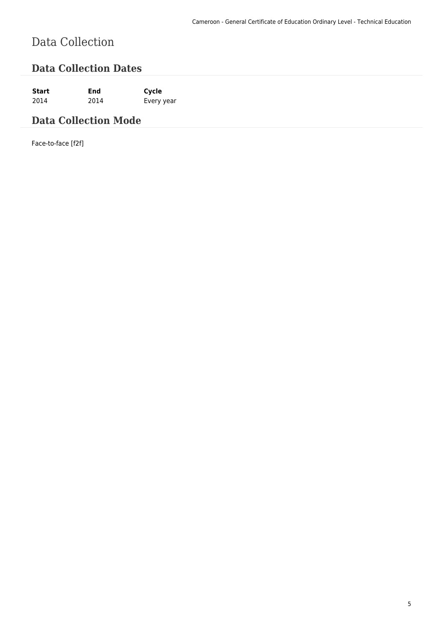# Data Collection

## **Data Collection Dates**

**Start End Cycle** 2014 2014 Every year

# **Data Collection Mode**

Face-to-face [f2f]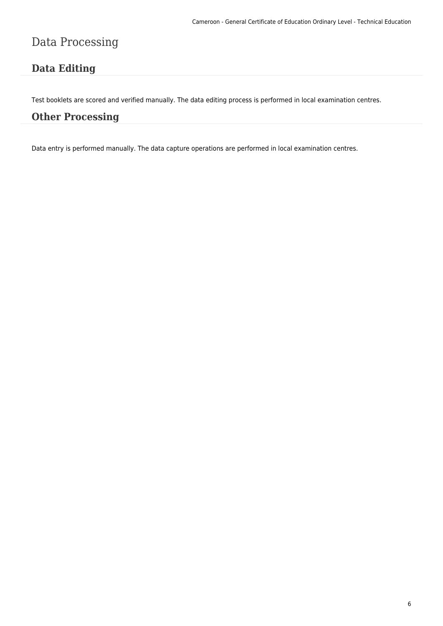# Data Processing

# **Data Editing**

Test booklets are scored and verified manually. The data editing process is performed in local examination centres.

### **Other Processing**

Data entry is performed manually. The data capture operations are performed in local examination centres.